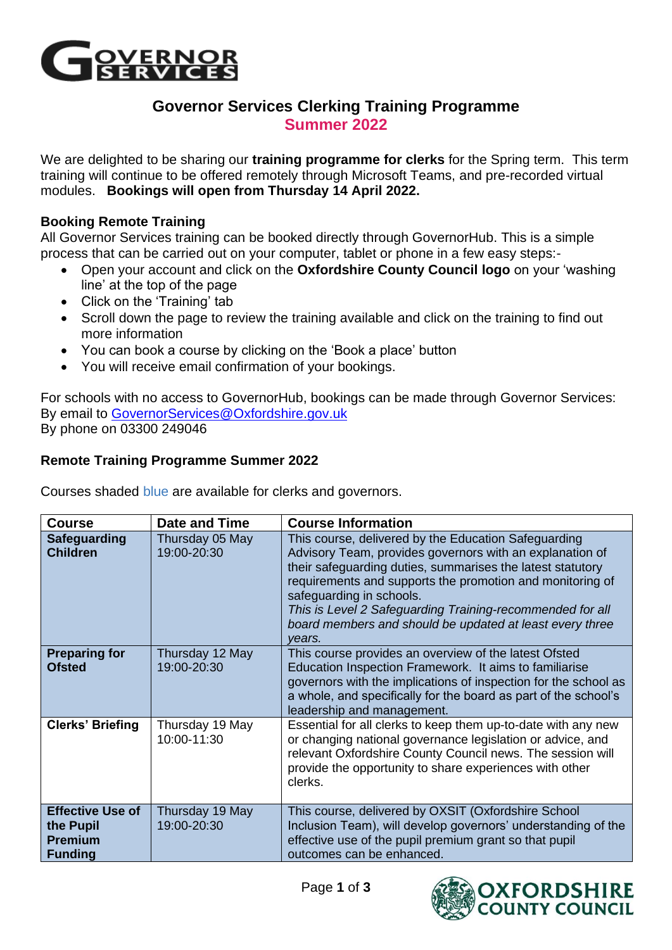

## **Governor Services Clerking Training Programme Summer 2022**

We are delighted to be sharing our **training programme for clerks** for the Spring term. This term training will continue to be offered remotely through Microsoft Teams, and pre-recorded virtual modules. **Bookings will open from Thursday 14 April 2022.**

## **Booking Remote Training**

All Governor Services training can be booked directly through GovernorHub. This is a simple process that can be carried out on your computer, tablet or phone in a few easy steps:-

- Open your account and click on the **Oxfordshire County Council logo** on your 'washing line' at the top of the page
- Click on the 'Training' tab
- Scroll down the page to review the training available and click on the training to find out more information
- You can book a course by clicking on the 'Book a place' button
- You will receive email confirmation of your bookings.

For schools with no access to GovernorHub, bookings can be made through Governor Services: By email to [GovernorServices@Oxfordshire.gov.uk](mailto:GovernorServices@Oxfordshire.gov.uk) By phone on 03300 249046

## **Remote Training Programme Summer 2022**

Courses shaded blue are available for clerks and governors.

| <b>Course</b>                                                            | Date and Time                  | <b>Course Information</b>                                                                                                                                                                                                                                                                                                                                                                                  |
|--------------------------------------------------------------------------|--------------------------------|------------------------------------------------------------------------------------------------------------------------------------------------------------------------------------------------------------------------------------------------------------------------------------------------------------------------------------------------------------------------------------------------------------|
| Safeguarding<br><b>Children</b>                                          | Thursday 05 May<br>19:00-20:30 | This course, delivered by the Education Safeguarding<br>Advisory Team, provides governors with an explanation of<br>their safeguarding duties, summarises the latest statutory<br>requirements and supports the promotion and monitoring of<br>safeguarding in schools.<br>This is Level 2 Safeguarding Training-recommended for all<br>board members and should be updated at least every three<br>vears. |
| <b>Preparing for</b><br><b>Ofsted</b>                                    | Thursday 12 May<br>19:00-20:30 | This course provides an overview of the latest Ofsted<br>Education Inspection Framework. It aims to familiarise<br>governors with the implications of inspection for the school as<br>a whole, and specifically for the board as part of the school's<br>leadership and management.                                                                                                                        |
| <b>Clerks' Briefing</b>                                                  | Thursday 19 May<br>10:00-11:30 | Essential for all clerks to keep them up-to-date with any new<br>or changing national governance legislation or advice, and<br>relevant Oxfordshire County Council news. The session will<br>provide the opportunity to share experiences with other<br>clerks.                                                                                                                                            |
| <b>Effective Use of</b><br>the Pupil<br><b>Premium</b><br><b>Funding</b> | Thursday 19 May<br>19:00-20:30 | This course, delivered by OXSIT (Oxfordshire School<br>Inclusion Team), will develop governors' understanding of the<br>effective use of the pupil premium grant so that pupil<br>outcomes can be enhanced.                                                                                                                                                                                                |

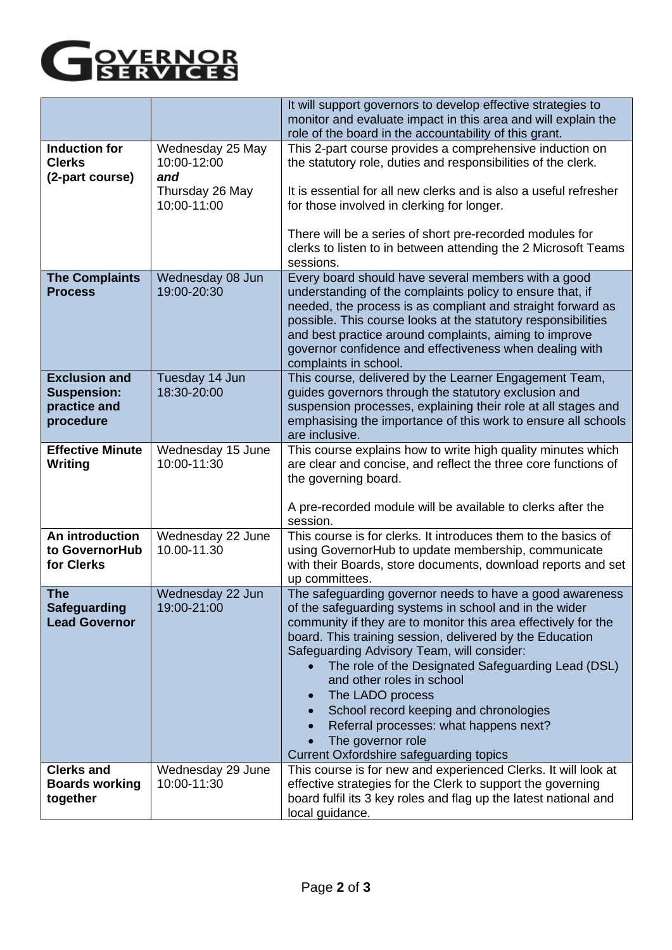

|                                                                         |                                                                          | It will support governors to develop effective strategies to<br>monitor and evaluate impact in this area and will explain the<br>role of the board in the accountability of this grant.                                                                                                                                                                                                                                                                                                                                                                   |
|-------------------------------------------------------------------------|--------------------------------------------------------------------------|-----------------------------------------------------------------------------------------------------------------------------------------------------------------------------------------------------------------------------------------------------------------------------------------------------------------------------------------------------------------------------------------------------------------------------------------------------------------------------------------------------------------------------------------------------------|
| <b>Induction for</b><br><b>Clerks</b><br>(2-part course)                | Wednesday 25 May<br>10:00-12:00<br>and<br>Thursday 26 May<br>10:00-11:00 | This 2-part course provides a comprehensive induction on<br>the statutory role, duties and responsibilities of the clerk.<br>It is essential for all new clerks and is also a useful refresher<br>for those involved in clerking for longer.<br>There will be a series of short pre-recorded modules for<br>clerks to listen to in between attending the 2 Microsoft Teams<br>sessions.                                                                                                                                                                   |
| <b>The Complaints</b><br><b>Process</b>                                 | Wednesday 08 Jun<br>19:00-20:30                                          | Every board should have several members with a good<br>understanding of the complaints policy to ensure that, if<br>needed, the process is as compliant and straight forward as<br>possible. This course looks at the statutory responsibilities<br>and best practice around complaints, aiming to improve<br>governor confidence and effectiveness when dealing with<br>complaints in school.                                                                                                                                                            |
| <b>Exclusion and</b><br><b>Suspension:</b><br>practice and<br>procedure | Tuesday 14 Jun<br>18:30-20:00                                            | This course, delivered by the Learner Engagement Team,<br>guides governors through the statutory exclusion and<br>suspension processes, explaining their role at all stages and<br>emphasising the importance of this work to ensure all schools<br>are inclusive.                                                                                                                                                                                                                                                                                        |
| <b>Effective Minute</b><br>Writing                                      | Wednesday 15 June<br>10:00-11:30                                         | This course explains how to write high quality minutes which<br>are clear and concise, and reflect the three core functions of<br>the governing board.<br>A pre-recorded module will be available to clerks after the<br>session.                                                                                                                                                                                                                                                                                                                         |
| An introduction<br>to GovernorHub<br>for Clerks                         | Wednesday 22 June<br>10.00-11.30                                         | This course is for clerks. It introduces them to the basics of<br>using GovernorHub to update membership, communicate<br>with their Boards, store documents, download reports and set<br>up committees.                                                                                                                                                                                                                                                                                                                                                   |
| <b>The</b><br><b>Safeguarding</b><br><b>Lead Governor</b>               | Wednesday 22 Jun<br>19:00-21:00                                          | The safeguarding governor needs to have a good awareness<br>of the safeguarding systems in school and in the wider<br>community if they are to monitor this area effectively for the<br>board. This training session, delivered by the Education<br>Safeguarding Advisory Team, will consider:<br>The role of the Designated Safeguarding Lead (DSL)<br>and other roles in school<br>The LADO process<br>School record keeping and chronologies<br>Referral processes: what happens next?<br>The governor role<br>Current Oxfordshire safeguarding topics |
| <b>Clerks and</b><br><b>Boards working</b><br>together                  | Wednesday 29 June<br>10:00-11:30                                         | This course is for new and experienced Clerks. It will look at<br>effective strategies for the Clerk to support the governing<br>board fulfil its 3 key roles and flag up the latest national and<br>local guidance.                                                                                                                                                                                                                                                                                                                                      |